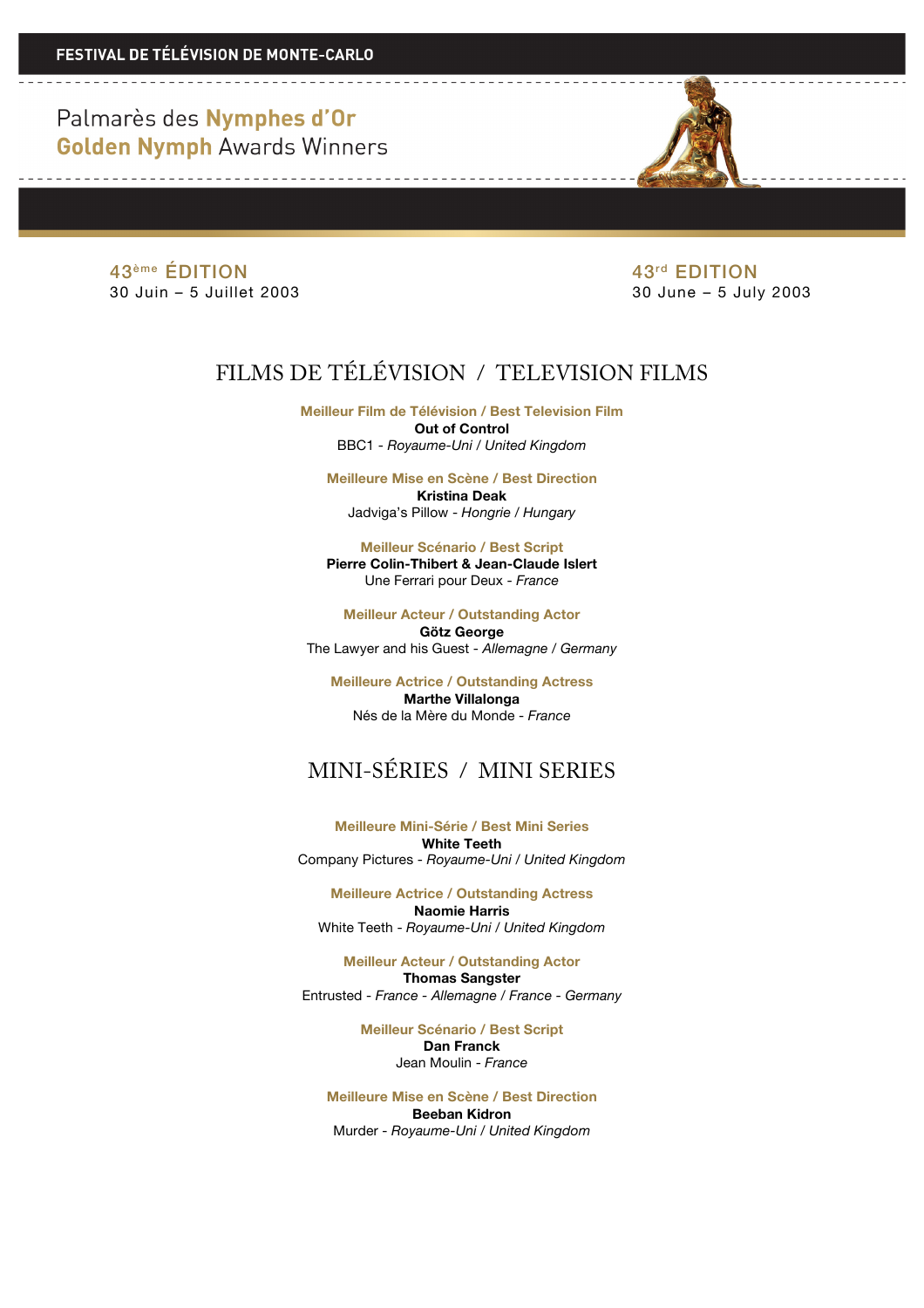Palmarès des Nymphes d'Or **Golden Nymph Awards Winners** 

> 43<sup>ème</sup> ÉDITION 43<sup>rd</sup> EDITION 30 Juin – 5 Juillet 2003 30 June – 5 July 2003

# FILMS DE TÉLÉVISION / TELEVISION FILMS

**Meilleur Film de Télévision / Best Television Film Out of Control** BBC1 - *Royaume-Uni / United Kingdom*

**Meilleure Mise en Scène / Best Direction Kristina Deak**

Jadviga's Pillow - *Hongrie / Hungary*

**Meilleur Scénario / Best Script Pierre Colin-Thibert & Jean-Claude Islert** Une Ferrari pour Deux - *France*

**Meilleur Acteur / Outstanding Actor Götz George** The Lawyer and his Guest - *Allemagne / Germany* 

**Meilleure Actrice / Outstanding Actress Marthe Villalonga** Nés de la Mère du Monde - *France*

# MINI-SÉRIES / MINI SERIES

**Meilleure Mini-Série / Best Mini Series White Teeth** Company Pictures - *Royaume-Uni / United Kingdom*

**Meilleure Actrice / Outstanding Actress Naomie Harris** White Teeth - *Royaume-Uni / United Kingdom*

**Meilleur Acteur / Outstanding Actor Thomas Sangster** Entrusted - *France - Allemagne / France - Germany* 

> **Meilleur Scénario / Best Script Dan Franck** Jean Moulin - *France*

**Meilleure Mise en Scène / Best Direction Beeban Kidron** Murder - *Royaume-Uni* / *United Kingdom*

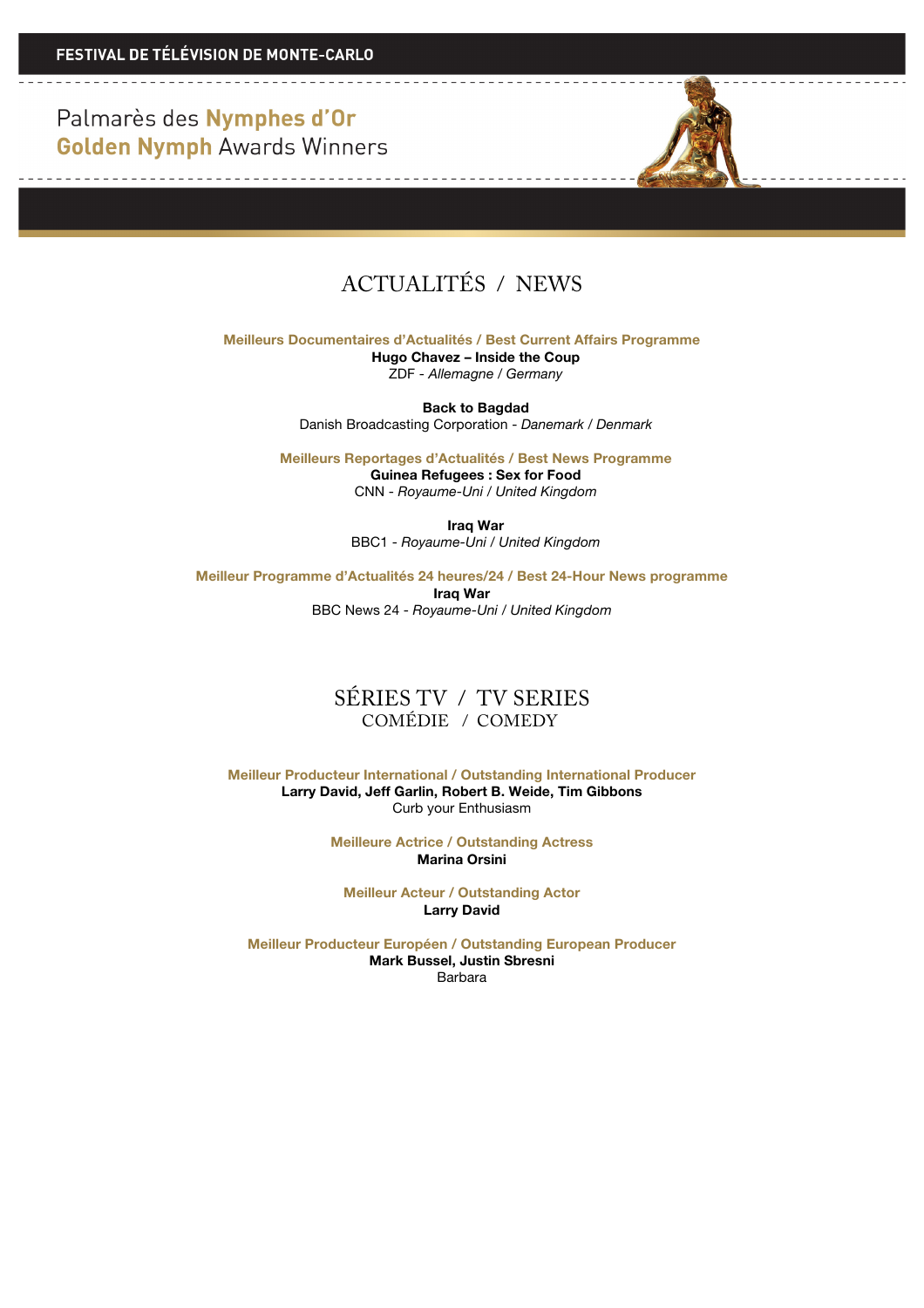Palmarès des Nymphes d'Or **Golden Nymph Awards Winners** 

<u> De la componenta de la componenta de la compo</u>

and the control of the control of the control of



## ACTUALITÉS / NEWS

**Meilleurs Documentaires d'Actualités / Best Current Affairs Programme**

**Hugo Chavez – Inside the Coup** ZDF - *Allemagne / Germany*

**Back to Bagdad** Danish Broadcasting Corporation - *Danemark / Denmark*

**Meilleurs Reportages d'Actualités / Best News Programme Guinea Refugees : Sex for Food** CNN - *Royaume-Uni / United Kingdom*

> **Iraq War** BBC1 - *Royaume-Uni / United Kingdom*

**Meilleur Programme d'Actualités 24 heures/24 / Best 24-Hour News programme**

**Iraq War** BBC News 24 - *Royaume-Uni / United Kingdom*

#### SÉRIES TV / TV SERIES COMÉDIE / COMEDY

**Meilleur Producteur International / Outstanding International Producer Larry David, Jeff Garlin, Robert B. Weide, Tim Gibbons** Curb your Enthusiasm

> **Meilleure Actrice / Outstanding Actress Marina Orsini**

**Meilleur Acteur / Outstanding Actor Larry David**

**Meilleur Producteur Européen / Outstanding European Producer Mark Bussel, Justin Sbresni** Barbara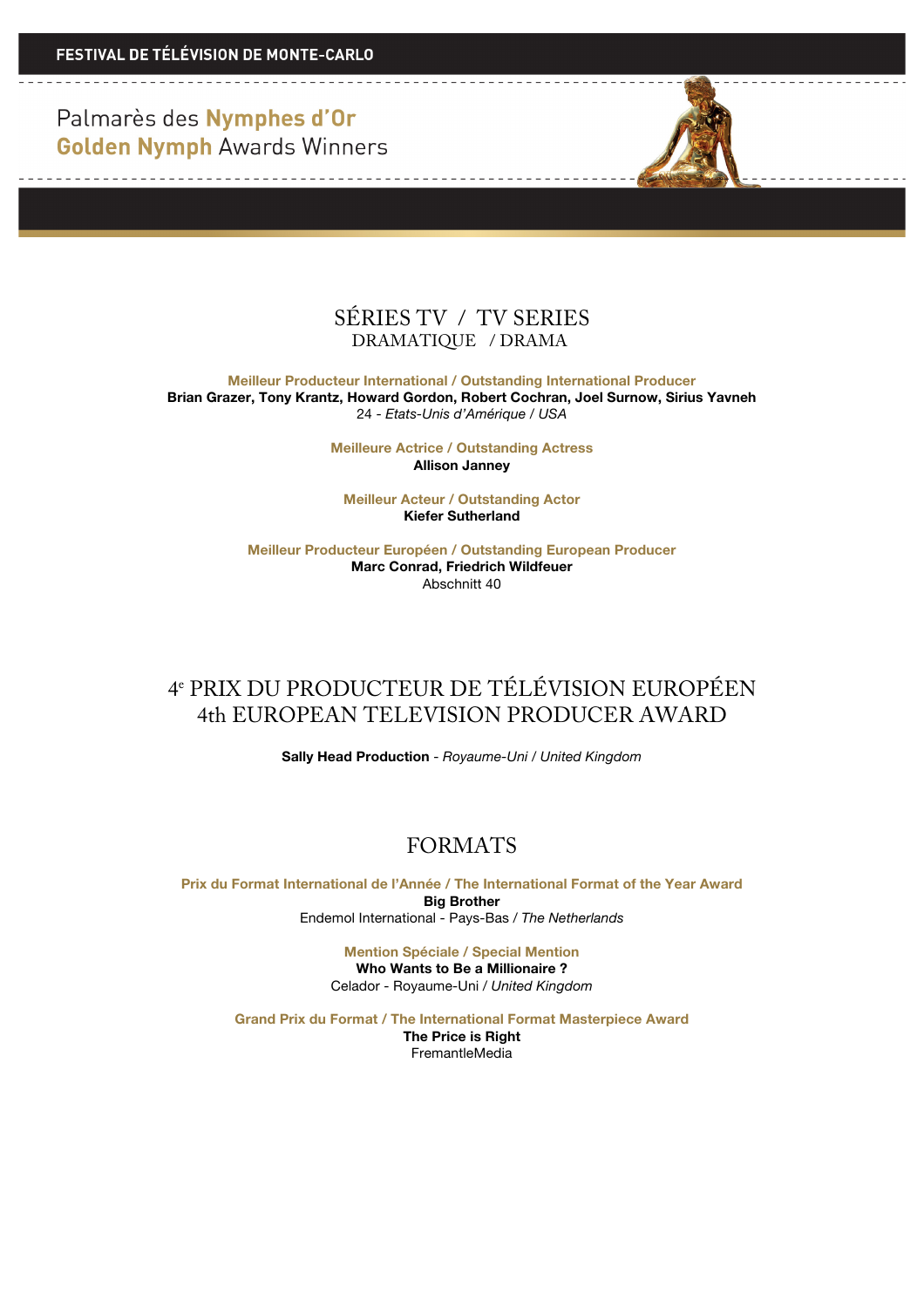**FESTIVAL DE TÉLÉVISION DE MONTE-CARLO** 

Palmarès des Nymphes d'Or **Golden Nymph Awards Winners** 

-----------------------------------



**Meilleur Producteur International / Outstanding International Producer Brian Grazer, Tony Krantz, Howard Gordon, Robert Cochran, Joel Surnow, Sirius Yavneh** 24 - *Etats-Unis d'Amérique / USA*

> **Meilleure Actrice / Outstanding Actress Allison Janney**

**Meilleur Acteur / Outstanding Actor Kiefer Sutherland**

**Meilleur Producteur Européen / Outstanding European Producer Marc Conrad, Friedrich Wildfeuer** Abschnitt 40

### 4e PRIX DU PRODUCTEUR DE TÉLÉVISION EUROPÉEN 4th EUROPEAN TELEVISION PRODUCER AWARD

**Sally Head Production** - *Royaume-Uni / United Kingdom*

#### FORMATS

**Prix du Format International de l'Année / The International Format of the Year Award Big Brother** Endemol International - Pays-Bas / *The Netherlands*

> **Mention Spéciale / Special Mention Who Wants to Be a Millionaire ?** Celador - Royaume-Uni / *United Kingdom*

**Grand Prix du Format / The International Format Masterpiece Award**

**The Price is Right** FremantleMedia